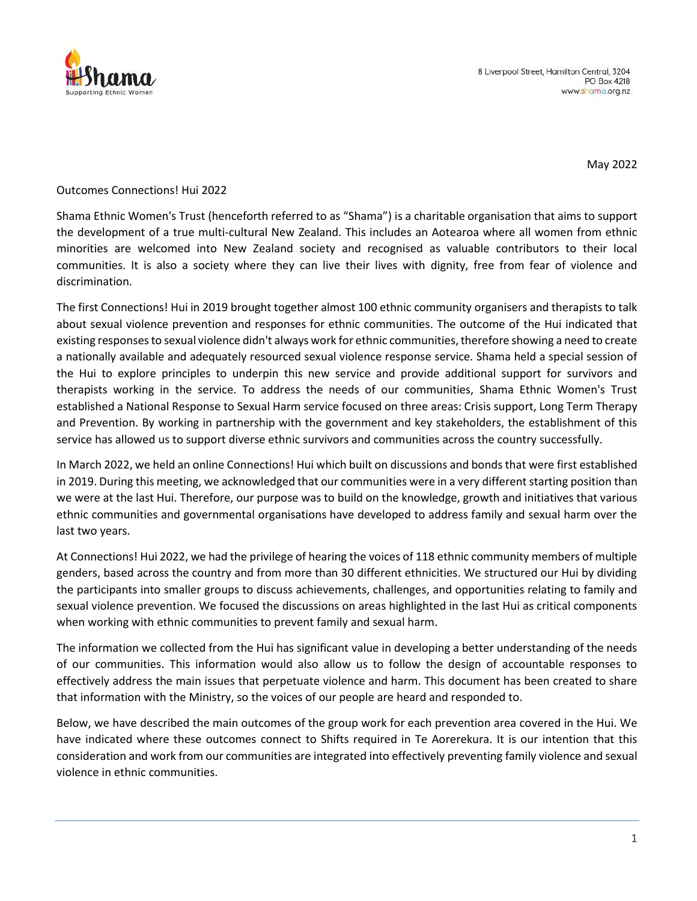

May 2022

## Outcomes Connections! Hui 2022

Shama Ethnic Women's Trust (henceforth referred to as "Shama") is a charitable organisation that aims to support the development of a true multi-cultural New Zealand. This includes an Aotearoa where all women from ethnic minorities are welcomed into New Zealand society and recognised as valuable contributors to their local communities. It is also a society where they can live their lives with dignity, free from fear of violence and discrimination.

The first Connections! Hui in 2019 brought together almost 100 ethnic community organisers and therapists to talk about sexual violence prevention and responses for ethnic communities. The outcome of the Hui indicated that existing responses to sexual violence didn't always work for ethnic communities, therefore showing a need to create a nationally available and adequately resourced sexual violence response service. Shama held a special session of the Hui to explore principles to underpin this new service and provide additional support for survivors and therapists working in the service. To address the needs of our communities, Shama Ethnic Women's Trust established a National Response to Sexual Harm service focused on three areas: Crisis support, Long Term Therapy and Prevention. By working in partnership with the government and key stakeholders, the establishment of this service has allowed us to support diverse ethnic survivors and communities across the country successfully.

In March 2022, we held an online Connections! Hui which built on discussions and bonds that were first established in 2019. During this meeting, we acknowledged that our communities were in a very different starting position than we were at the last Hui. Therefore, our purpose was to build on the knowledge, growth and initiatives that various ethnic communities and governmental organisations have developed to address family and sexual harm over the last two years.

At Connections! Hui 2022, we had the privilege of hearing the voices of 118 ethnic community members of multiple genders, based across the country and from more than 30 different ethnicities. We structured our Hui by dividing the participants into smaller groups to discuss achievements, challenges, and opportunities relating to family and sexual violence prevention. We focused the discussions on areas highlighted in the last Hui as critical components when working with ethnic communities to prevent family and sexual harm.

The information we collected from the Hui has significant value in developing a better understanding of the needs of our communities. This information would also allow us to follow the design of accountable responses to effectively address the main issues that perpetuate violence and harm. This document has been created to share that information with the Ministry, so the voices of our people are heard and responded to.

Below, we have described the main outcomes of the group work for each prevention area covered in the Hui. We have indicated where these outcomes connect to Shifts required in Te Aorerekura. It is our intention that this consideration and work from our communities are integrated into effectively preventing family violence and sexual violence in ethnic communities.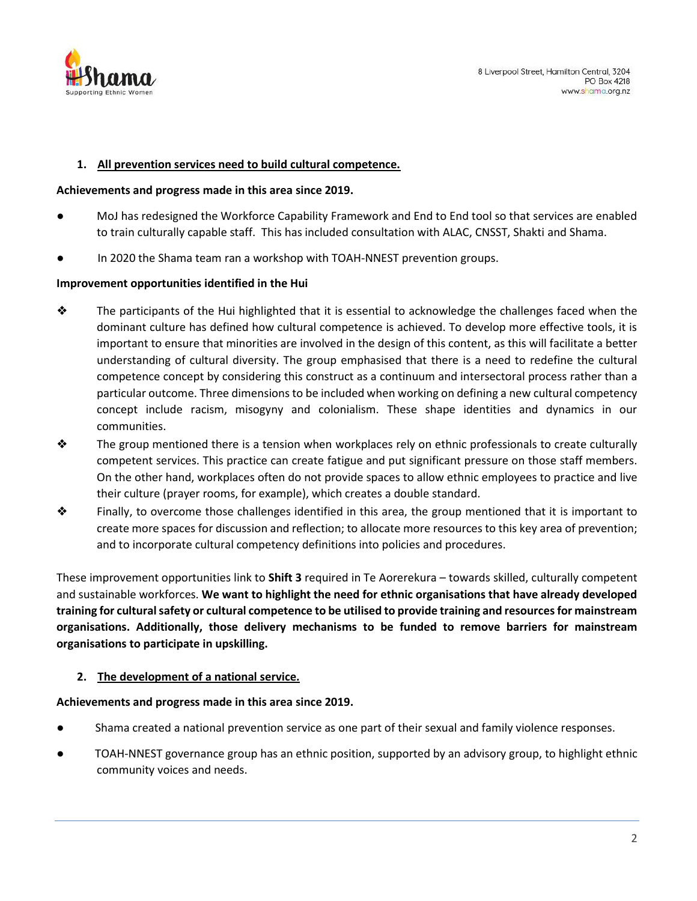

#### **1. All prevention services need to build cultural competence.**

#### **Achievements and progress made in this area since 2019.**

- MoJ has redesigned the Workforce Capability Framework and End to End tool so that services are enabled to train culturally capable staff. This has included consultation with ALAC, CNSST, Shakti and Shama.
- In 2020 the Shama team ran a workshop with TOAH-NNEST prevention groups.

### **Improvement opportunities identified in the Hui**

- ❖ The participants of the Hui highlighted that it is essential to acknowledge the challenges faced when the dominant culture has defined how cultural competence is achieved. To develop more effective tools, it is important to ensure that minorities are involved in the design of this content, as this will facilitate a better understanding of cultural diversity. The group emphasised that there is a need to redefine the cultural competence concept by considering this construct as a continuum and intersectoral process rather than a particular outcome. Three dimensions to be included when working on defining a new cultural competency concept include racism, misogyny and colonialism. These shape identities and dynamics in our communities.
- ❖ The group mentioned there is a tension when workplaces rely on ethnic professionals to create culturally competent services. This practice can create fatigue and put significant pressure on those staff members. On the other hand, workplaces often do not provide spaces to allow ethnic employees to practice and live their culture (prayer rooms, for example), which creates a double standard.
- ❖ Finally, to overcome those challenges identified in this area, the group mentioned that it is important to create more spaces for discussion and reflection; to allocate more resources to this key area of prevention; and to incorporate cultural competency definitions into policies and procedures.

These improvement opportunities link to **Shift 3** required in Te Aorerekura – towards skilled, culturally competent and sustainable workforces. **We want to highlight the need for ethnic organisations that have already developed training for cultural safety or cultural competence to be utilised to provide training and resources for mainstream organisations. Additionally, those delivery mechanisms to be funded to remove barriers for mainstream organisations to participate in upskilling.**

### **2. The development of a national service.**

### **Achievements and progress made in this area since 2019.**

- Shama created a national prevention service as one part of their sexual and family violence responses.
- TOAH-NNEST governance group has an ethnic position, supported by an advisory group, to highlight ethnic community voices and needs.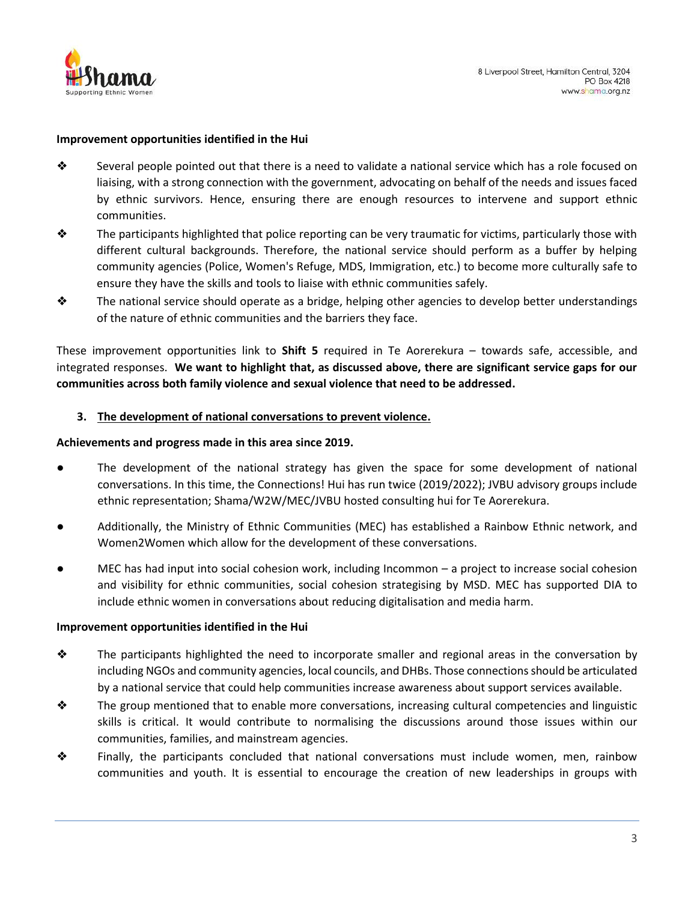

#### **Improvement opportunities identified in the Hui**

- ❖ Several people pointed out that there is a need to validate a national service which has a role focused on liaising, with a strong connection with the government, advocating on behalf of the needs and issues faced by ethnic survivors. Hence, ensuring there are enough resources to intervene and support ethnic communities.
- $\lozenge$  The participants highlighted that police reporting can be very traumatic for victims, particularly those with different cultural backgrounds. Therefore, the national service should perform as a buffer by helping community agencies (Police, Women's Refuge, MDS, Immigration, etc.) to become more culturally safe to ensure they have the skills and tools to liaise with ethnic communities safely.
- $\bullet$  The national service should operate as a bridge, helping other agencies to develop better understandings of the nature of ethnic communities and the barriers they face.

These improvement opportunities link to **Shift 5** required in Te Aorerekura – towards safe, accessible, and integrated responses. **We want to highlight that, as discussed above, there are significant service gaps for our communities across both family violence and sexual violence that need to be addressed.**

#### **3. The development of national conversations to prevent violence.**

#### **Achievements and progress made in this area since 2019.**

- The development of the national strategy has given the space for some development of national conversations. In this time, the Connections! Hui has run twice (2019/2022); JVBU advisory groups include ethnic representation; Shama/W2W/MEC/JVBU hosted consulting hui for Te Aorerekura.
- Additionally, the Ministry of Ethnic Communities (MEC) has established a Rainbow Ethnic network, and Women2Women which allow for the development of these conversations.
- $MEC$  has had input into social cohesion work, including Incommon a project to increase social cohesion and visibility for ethnic communities, social cohesion strategising by MSD. MEC has supported DIA to include ethnic women in conversations about reducing digitalisation and media harm.

#### **Improvement opportunities identified in the Hui**

- $\clubsuit$  The participants highlighted the need to incorporate smaller and regional areas in the conversation by including NGOs and community agencies, local councils, and DHBs. Those connections should be articulated by a national service that could help communities increase awareness about support services available.
- $\lozenge$  The group mentioned that to enable more conversations, increasing cultural competencies and linguistic skills is critical. It would contribute to normalising the discussions around those issues within our communities, families, and mainstream agencies.
- ❖ Finally, the participants concluded that national conversations must include women, men, rainbow communities and youth. It is essential to encourage the creation of new leaderships in groups with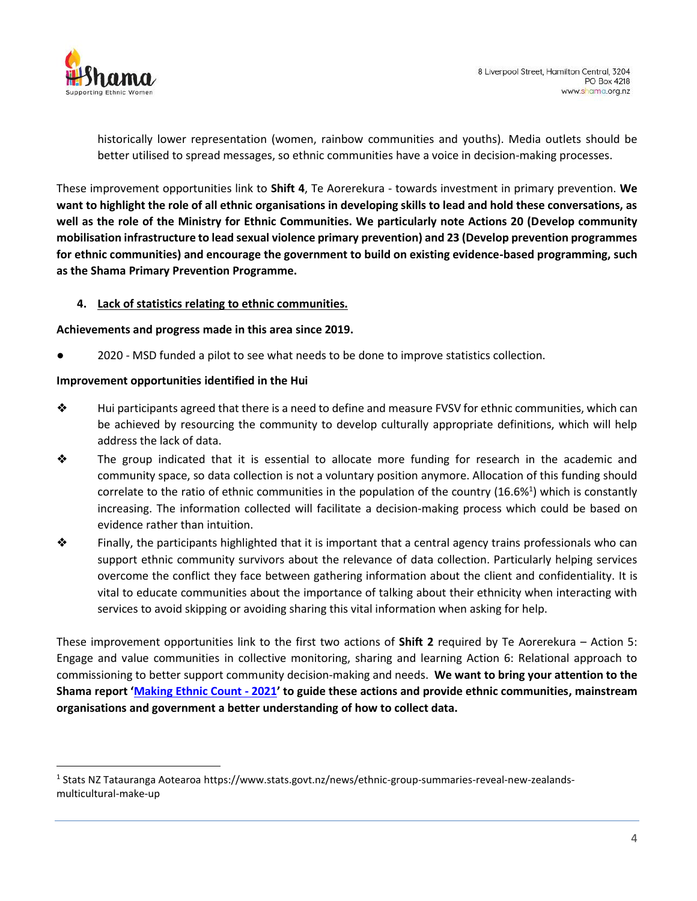

historically lower representation (women, rainbow communities and youths). Media outlets should be better utilised to spread messages, so ethnic communities have a voice in decision-making processes.

These improvement opportunities link to **Shift 4**, Te Aorerekura - towards investment in primary prevention. **We want to highlight the role of all ethnic organisations in developing skills to lead and hold these conversations, as well as the role of the Ministry for Ethnic Communities. We particularly note Actions 20 (Develop community mobilisation infrastructure to lead sexual violence primary prevention) and 23 (Develop prevention programmes for ethnic communities) and encourage the government to build on existing evidence-based programming, such as the Shama Primary Prevention Programme.**

## **4. Lack of statistics relating to ethnic communities.**

### **Achievements and progress made in this area since 2019.**

2020 - MSD funded a pilot to see what needs to be done to improve statistics collection.

#### **Improvement opportunities identified in the Hui**

- ❖ Hui participants agreed that there is a need to define and measure FVSV for ethnic communities, which can be achieved by resourcing the community to develop culturally appropriate definitions, which will help address the lack of data.
- ❖ The group indicated that it is essential to allocate more funding for research in the academic and community space, so data collection is not a voluntary position anymore. Allocation of this funding should correlate to the ratio of ethnic communities in the population of the country (16.6%<sup>1</sup>) which is constantly increasing. The information collected will facilitate a decision-making process which could be based on evidence rather than intuition.
- $\lozenge$  Finally, the participants highlighted that it is important that a central agency trains professionals who can support ethnic community survivors about the relevance of data collection. Particularly helping services overcome the conflict they face between gathering information about the client and confidentiality. It is vital to educate communities about the importance of talking about their ethnicity when interacting with services to avoid skipping or avoiding sharing this vital information when asking for help.

These improvement opportunities link to the first two actions of **Shift 2** required by Te Aorerekura – Action 5: Engage and value communities in collective monitoring, sharing and learning Action 6: Relational approach to commissioning to better support community decision-making and needs. **We want to bring your attention to the Shama report '[Making Ethnic Count -](https://shama.org.nz/how-we-help/national-response-for-sexual-harm/making-ethnic-count/) 2021' to guide these actions and provide ethnic communities, mainstream organisations and government a better understanding of how to collect data.**

<sup>&</sup>lt;sup>1</sup> Stats NZ Tatauranga Aotearoa https://www.stats.govt.nz/news/ethnic-group-summaries-reveal-new-zealandsmulticultural-make-up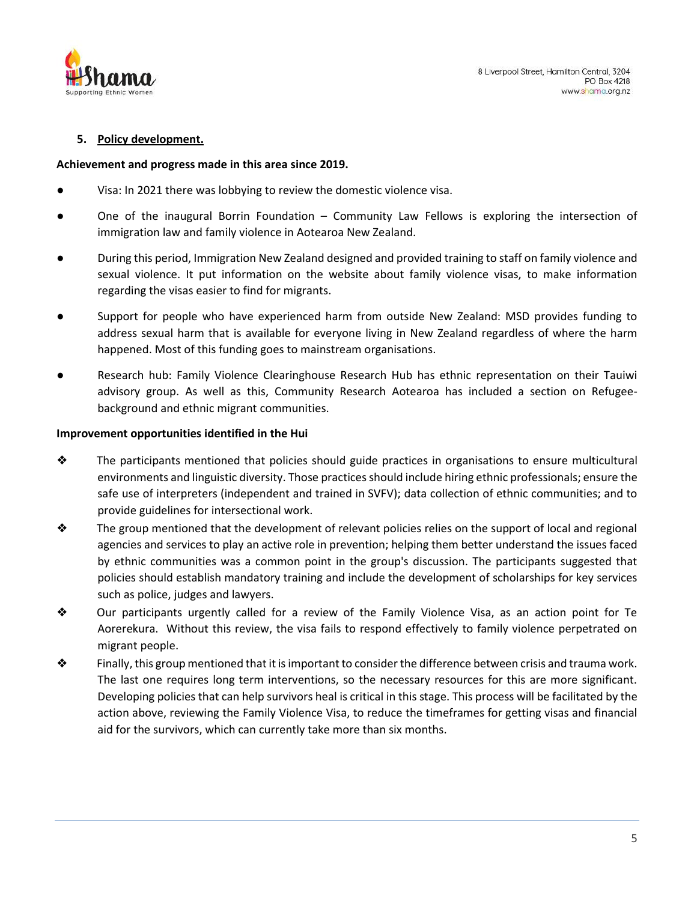

## **5. Policy development.**

#### **Achievement and progress made in this area since 2019.**

- Visa: In 2021 there was lobbying to review the domestic violence visa.
- One of the inaugural Borrin Foundation Community Law Fellows is exploring the intersection of immigration law and family violence in Aotearoa New Zealand.
- During this period, Immigration New Zealand designed and provided training to staff on family violence and sexual violence. It put information on the website about family violence visas, to make information regarding the visas easier to find for migrants.
- Support for people who have experienced harm from outside New Zealand: MSD provides funding to address sexual harm that is available for everyone living in New Zealand regardless of where the harm happened. Most of this funding goes to mainstream organisations.
- Research hub: Family Violence Clearinghouse Research Hub has ethnic representation on their Tauiwi advisory group. As well as this, Community Research Aotearoa has included a section on Refugeebackground and ethnic migrant communities.

### **Improvement opportunities identified in the Hui**

- $\bullet$  The participants mentioned that policies should guide practices in organisations to ensure multicultural environments and linguistic diversity. Those practices should include hiring ethnic professionals; ensure the safe use of interpreters (independent and trained in SVFV); data collection of ethnic communities; and to provide guidelines for intersectional work.
- $\bullet$  The group mentioned that the development of relevant policies relies on the support of local and regional agencies and services to play an active role in prevention; helping them better understand the issues faced by ethnic communities was a common point in the group's discussion. The participants suggested that policies should establish mandatory training and include the development of scholarships for key services such as police, judges and lawyers.
- ❖ Our participants urgently called for a review of the Family Violence Visa, as an action point for Te Aorerekura. Without this review, the visa fails to respond effectively to family violence perpetrated on migrant people.
- $\clubsuit$  Finally, this group mentioned that it is important to consider the difference between crisis and trauma work. The last one requires long term interventions, so the necessary resources for this are more significant. Developing policies that can help survivors heal is critical in this stage. This process will be facilitated by the action above, reviewing the Family Violence Visa, to reduce the timeframes for getting visas and financial aid for the survivors, which can currently take more than six months.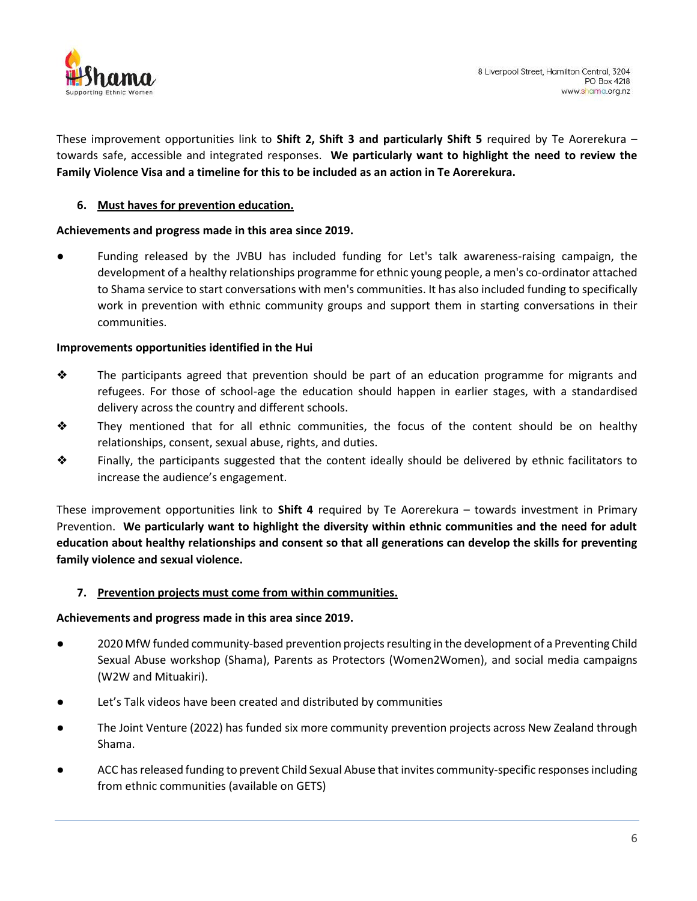

These improvement opportunities link to **Shift 2, Shift 3 and particularly Shift 5** required by Te Aorerekura – towards safe, accessible and integrated responses. **We particularly want to highlight the need to review the Family Violence Visa and a timeline for this to be included as an action in Te Aorerekura.**

### **6. Must haves for prevention education.**

### **Achievements and progress made in this area since 2019.**

Funding released by the JVBU has included funding for Let's talk awareness-raising campaign, the development of a healthy relationships programme for ethnic young people, a men's co-ordinator attached to Shama service to start conversations with men's communities. It has also included funding to specifically work in prevention with ethnic community groups and support them in starting conversations in their communities.

#### **Improvements opportunities identified in the Hui**

- ❖ The participants agreed that prevention should be part of an education programme for migrants and refugees. For those of school-age the education should happen in earlier stages, with a standardised delivery across the country and different schools.
- ❖ They mentioned that for all ethnic communities, the focus of the content should be on healthy relationships, consent, sexual abuse, rights, and duties.
- ❖ Finally, the participants suggested that the content ideally should be delivered by ethnic facilitators to increase the audience's engagement.

These improvement opportunities link to **Shift 4** required by Te Aorerekura – towards investment in Primary Prevention. **We particularly want to highlight the diversity within ethnic communities and the need for adult education about healthy relationships and consent so that all generations can develop the skills for preventing family violence and sexual violence.**

### **7. Prevention projects must come from within communities.**

#### **Achievements and progress made in this area since 2019.**

- 2020 MfW funded community-based prevention projects resulting in the development of a Preventing Child Sexual Abuse workshop (Shama), Parents as Protectors (Women2Women), and social media campaigns (W2W and Mituakiri).
- Let's Talk videos have been created and distributed by communities
- The Joint Venture (2022) has funded six more community prevention projects across New Zealand through Shama.
- ACC has released funding to prevent Child Sexual Abuse that invites community-specific responses including from ethnic communities (available on GETS)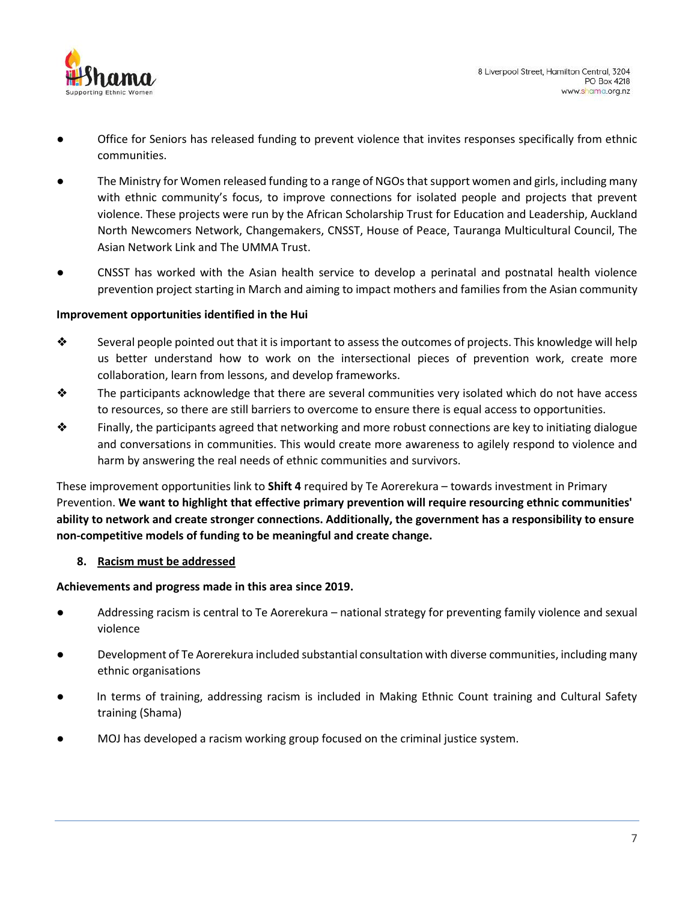

- Office for Seniors has released funding to prevent violence that invites responses specifically from ethnic communities.
- The Ministry for Women released funding to a range of NGOs that support women and girls, including many with ethnic community's focus, to improve connections for isolated people and projects that prevent violence. These projects were run by the African Scholarship Trust for Education and Leadership, Auckland North Newcomers Network, Changemakers, CNSST, House of Peace, Tauranga Multicultural Council, The Asian Network Link and The UMMA Trust.
- CNSST has worked with the Asian health service to develop a perinatal and postnatal health violence prevention project starting in March and aiming to impact mothers and families from the Asian community

### **Improvement opportunities identified in the Hui**

- $\diamond$  Several people pointed out that it is important to assess the outcomes of projects. This knowledge will help us better understand how to work on the intersectional pieces of prevention work, create more collaboration, learn from lessons, and develop frameworks.
- ❖ The participants acknowledge that there are several communities very isolated which do not have access to resources, so there are still barriers to overcome to ensure there is equal access to opportunities.
- $\bullet$  Finally, the participants agreed that networking and more robust connections are key to initiating dialogue and conversations in communities. This would create more awareness to agilely respond to violence and harm by answering the real needs of ethnic communities and survivors.

These improvement opportunities link to **Shift 4** required by Te Aorerekura – towards investment in Primary Prevention. **We want to highlight that effective primary prevention will require resourcing ethnic communities' ability to network and create stronger connections. Additionally, the government has a responsibility to ensure non-competitive models of funding to be meaningful and create change.**

# **8. Racism must be addressed**

### **Achievements and progress made in this area since 2019.**

- Addressing racism is central to Te Aorerekura national strategy for preventing family violence and sexual violence
- Development of Te Aorerekura included substantial consultation with diverse communities, including many ethnic organisations
- In terms of training, addressing racism is included in Making Ethnic Count training and Cultural Safety training (Shama)
- MOJ has developed a racism working group focused on the criminal justice system.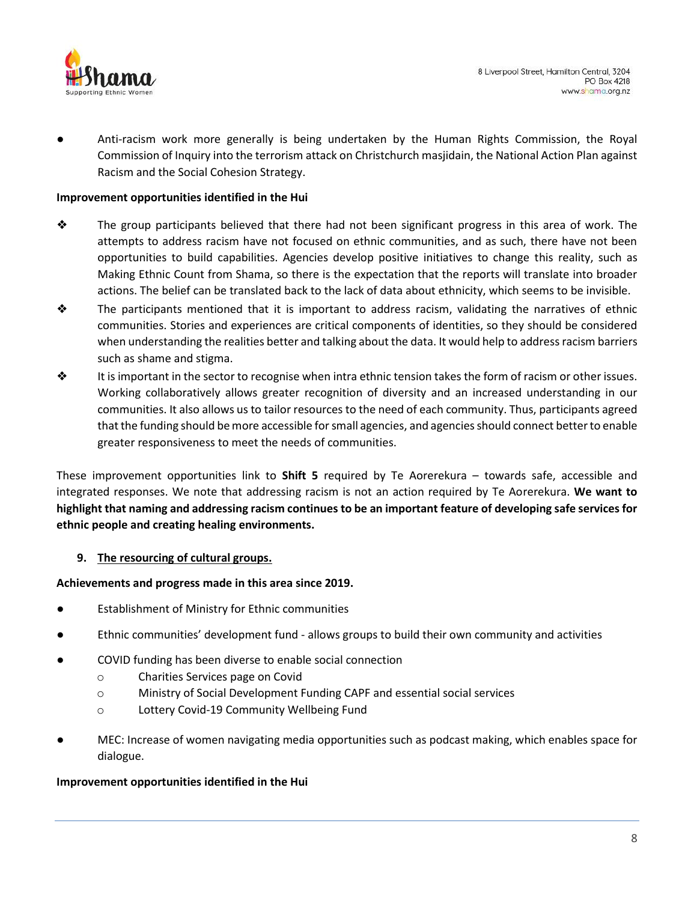

Anti-racism work more generally is being undertaken by the Human Rights Commission, the Royal Commission of Inquiry into the terrorism attack on Christchurch masjidain, the National Action Plan against Racism and the Social Cohesion Strategy.

### **Improvement opportunities identified in the Hui**

- ❖ The group participants believed that there had not been significant progress in this area of work. The attempts to address racism have not focused on ethnic communities, and as such, there have not been opportunities to build capabilities. Agencies develop positive initiatives to change this reality, such as Making Ethnic Count from Shama, so there is the expectation that the reports will translate into broader actions. The belief can be translated back to the lack of data about ethnicity, which seems to be invisible.
- $\triangle$  The participants mentioned that it is important to address racism, validating the narratives of ethnic communities. Stories and experiences are critical components of identities, so they should be considered when understanding the realities better and talking about the data. It would help to address racism barriers such as shame and stigma.
- $\bullet$  It is important in the sector to recognise when intra ethnic tension takes the form of racism or other issues. Working collaboratively allows greater recognition of diversity and an increased understanding in our communities. It also allows us to tailor resources to the need of each community. Thus, participants agreed that the funding should be more accessible for small agencies, and agencies should connect better to enable greater responsiveness to meet the needs of communities.

These improvement opportunities link to **Shift 5** required by Te Aorerekura – towards safe, accessible and integrated responses. We note that addressing racism is not an action required by Te Aorerekura. **We want to highlight that naming and addressing racism continues to be an important feature of developing safe services for ethnic people and creating healing environments.**

### **9. The resourcing of cultural groups.**

### **Achievements and progress made in this area since 2019.**

- **Establishment of Ministry for Ethnic communities**
- Ethnic communities' development fund allows groups to build their own community and activities
- COVID funding has been diverse to enable social connection
	- o Charities Services page on Covid
	- o Ministry of Social Development Funding CAPF and essential social services
	- o Lottery Covid-19 Community Wellbeing Fund
- MEC: Increase of women navigating media opportunities such as podcast making, which enables space for dialogue.

### **Improvement opportunities identified in the Hui**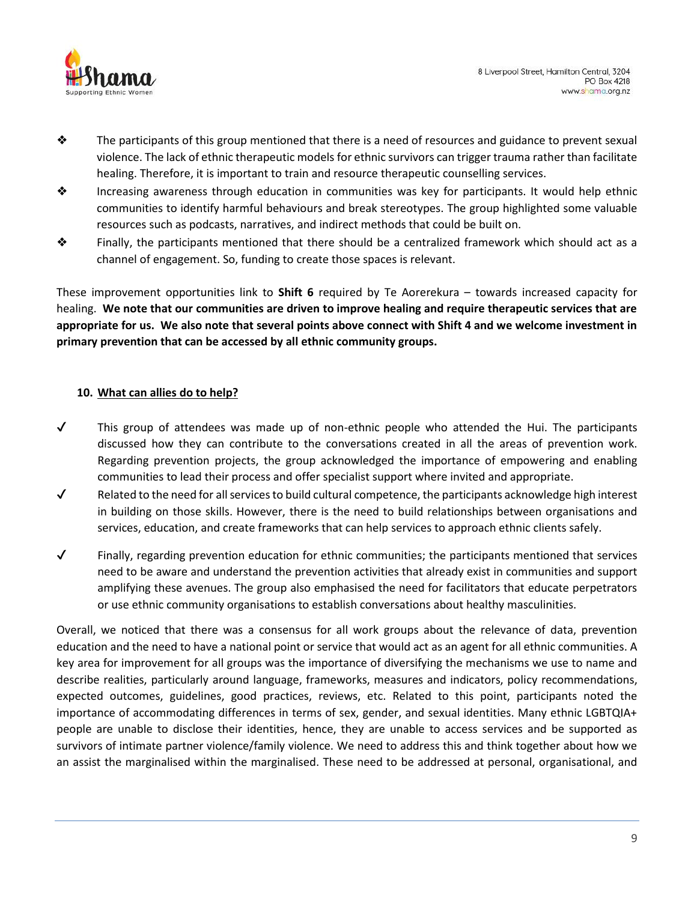

- $\bullet$  The participants of this group mentioned that there is a need of resources and guidance to prevent sexual violence. The lack of ethnic therapeutic models for ethnic survivors can trigger trauma rather than facilitate healing. Therefore, it is important to train and resource therapeutic counselling services.
- ❖ Increasing awareness through education in communities was key for participants. It would help ethnic communities to identify harmful behaviours and break stereotypes. The group highlighted some valuable resources such as podcasts, narratives, and indirect methods that could be built on.
- ❖ Finally, the participants mentioned that there should be a centralized framework which should act as a channel of engagement. So, funding to create those spaces is relevant.

These improvement opportunities link to **Shift 6** required by Te Aorerekura – towards increased capacity for healing. **We note that our communities are driven to improve healing and require therapeutic services that are appropriate for us. We also note that several points above connect with Shift 4 and we welcome investment in primary prevention that can be accessed by all ethnic community groups.**

# **10. What can allies do to help?**

- $\checkmark$  This group of attendees was made up of non-ethnic people who attended the Hui. The participants discussed how they can contribute to the conversations created in all the areas of prevention work. Regarding prevention projects, the group acknowledged the importance of empowering and enabling communities to lead their process and offer specialist support where invited and appropriate.
- $\checkmark$  Related to the need for all services to build cultural competence, the participants acknowledge high interest in building on those skills. However, there is the need to build relationships between organisations and services, education, and create frameworks that can help services to approach ethnic clients safely.
- $\checkmark$  Finally, regarding prevention education for ethnic communities; the participants mentioned that services need to be aware and understand the prevention activities that already exist in communities and support amplifying these avenues. The group also emphasised the need for facilitators that educate perpetrators or use ethnic community organisations to establish conversations about healthy masculinities.

Overall, we noticed that there was a consensus for all work groups about the relevance of data, prevention education and the need to have a national point or service that would act as an agent for all ethnic communities. A key area for improvement for all groups was the importance of diversifying the mechanisms we use to name and describe realities, particularly around language, frameworks, measures and indicators, policy recommendations, expected outcomes, guidelines, good practices, reviews, etc. Related to this point, participants noted the importance of accommodating differences in terms of sex, gender, and sexual identities. Many ethnic LGBTQIA+ people are unable to disclose their identities, hence, they are unable to access services and be supported as survivors of intimate partner violence/family violence. We need to address this and think together about how we an assist the marginalised within the marginalised. These need to be addressed at personal, organisational, and